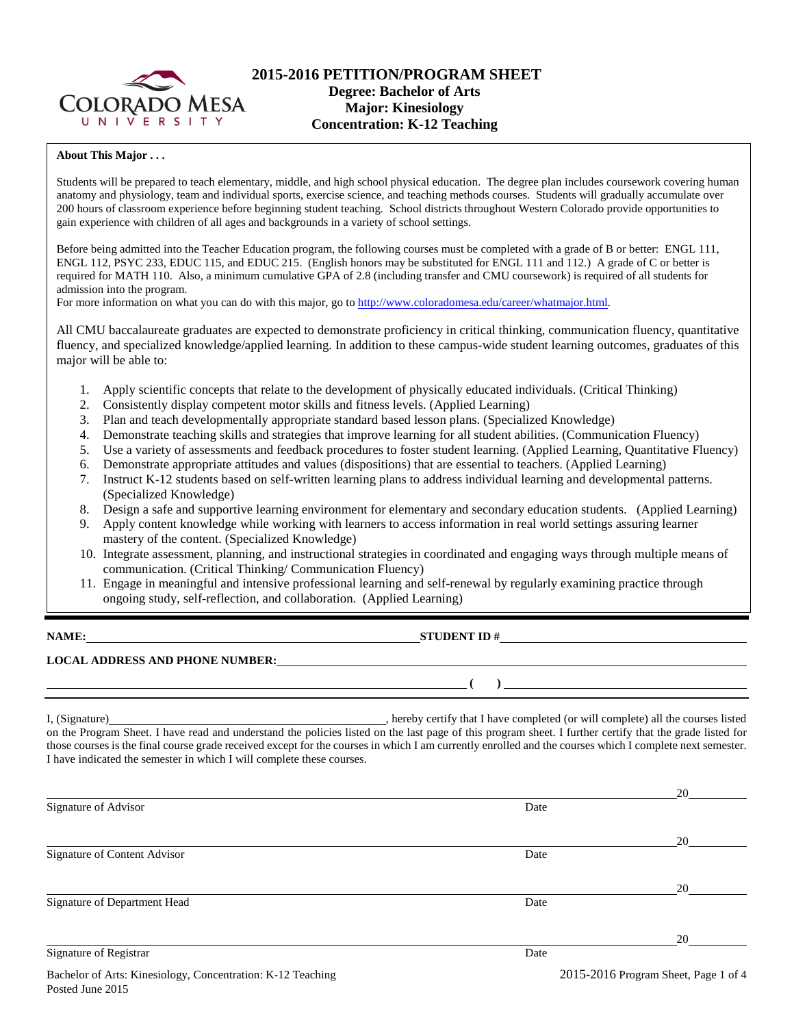

### **2015-2016 PETITION/PROGRAM SHEET Degree: Bachelor of Arts Major: Kinesiology Concentration: K-12 Teaching**

### **About This Major . . .**

Students will be prepared to teach elementary, middle, and high school physical education. The degree plan includes coursework covering human anatomy and physiology, team and individual sports, exercise science, and teaching methods courses. Students will gradually accumulate over 200 hours of classroom experience before beginning student teaching. School districts throughout Western Colorado provide opportunities to gain experience with children of all ages and backgrounds in a variety of school settings.

Before being admitted into the Teacher Education program, the following courses must be completed with a grade of B or better: ENGL 111, ENGL 112, PSYC 233, EDUC 115, and EDUC 215. (English honors may be substituted for ENGL 111 and 112.) A grade of C or better is required for MATH 110. Also, a minimum cumulative GPA of 2.8 (including transfer and CMU coursework) is required of all students for admission into the program.

For more information on what you can do with this major, go to [http://www.coloradomesa.edu/career/whatmajor.html.](http://www.coloradomesa.edu/career/whatmajor.html)

All CMU baccalaureate graduates are expected to demonstrate proficiency in critical thinking, communication fluency, quantitative fluency, and specialized knowledge/applied learning. In addition to these campus-wide student learning outcomes, graduates of this major will be able to:

- 1. Apply scientific concepts that relate to the development of physically educated individuals. (Critical Thinking)
- 2. Consistently display competent motor skills and fitness levels. (Applied Learning)
- 3. Plan and teach developmentally appropriate standard based lesson plans. (Specialized Knowledge)
- 4. Demonstrate teaching skills and strategies that improve learning for all student abilities. (Communication Fluency)
- 5. Use a variety of assessments and feedback procedures to foster student learning. (Applied Learning, Quantitative Fluency)
- 6. Demonstrate appropriate attitudes and values (dispositions) that are essential to teachers. (Applied Learning)
- 7. Instruct K-12 students based on self-written learning plans to address individual learning and developmental patterns. (Specialized Knowledge)
- 8. Design a safe and supportive learning environment for elementary and secondary education students. (Applied Learning)
- 9. Apply content knowledge while working with learners to access information in real world settings assuring learner mastery of the content. (Specialized Knowledge)
- 10. Integrate assessment, planning, and instructional strategies in coordinated and engaging ways through multiple means of communication. (Critical Thinking/ Communication Fluency)
- 11. Engage in meaningful and intensive professional learning and self-renewal by regularly examining practice through ongoing study, self-reflection, and collaboration. (Applied Learning)

### **NAME: STUDENT ID #**

**( )** 

### **LOCAL ADDRESS AND PHONE NUMBER:**

I, (Signature) **Source 2008** (Signature) **, hereby certify that I have completed** (or will complete) all the courses listed on the Program Sheet. I have read and understand the policies listed on the last page of this program sheet. I further certify that the grade listed for those courses is the final course grade received except for the courses in which I am currently enrolled and the courses which I complete next semester. I have indicated the semester in which I will complete these courses.

|                              |      | 20 |
|------------------------------|------|----|
| Signature of Advisor         | Date |    |
|                              |      | 20 |
| Signature of Content Advisor | Date |    |
|                              |      | 20 |
| Signature of Department Head | Date |    |
|                              |      | 20 |
| Signature of Registrar       | Date |    |
|                              |      |    |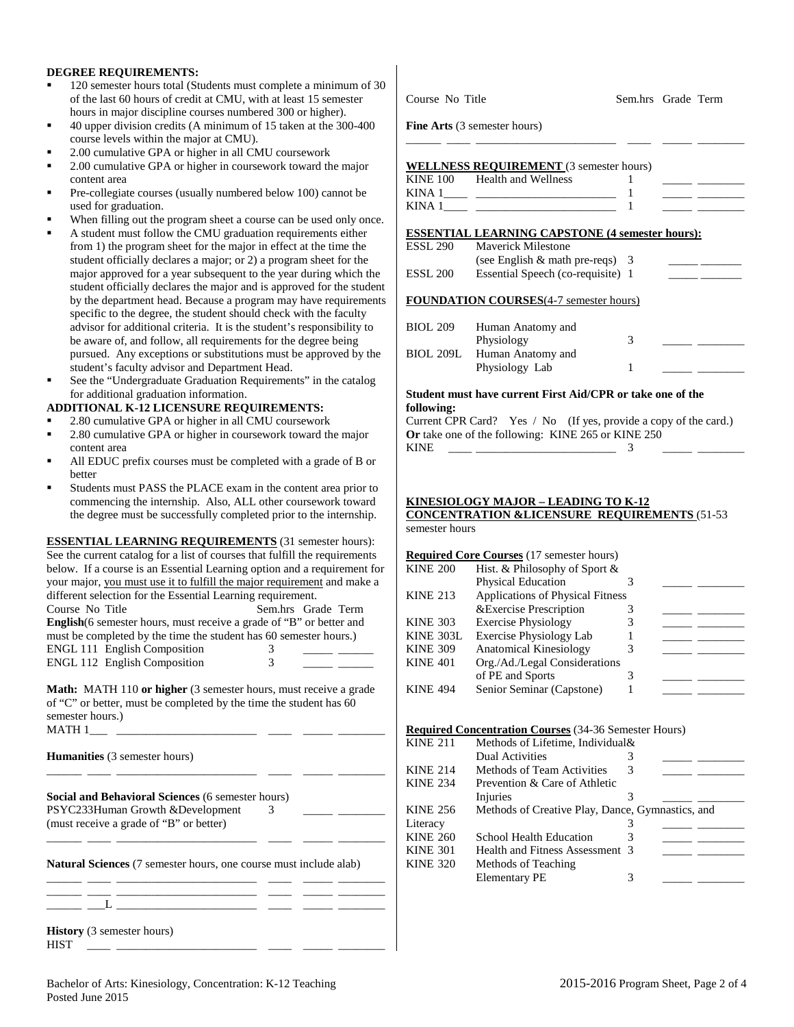### **DEGREE REQUIREMENTS:**

- 120 semester hours total (Students must complete a minimum of 30 of the last 60 hours of credit at CMU, with at least 15 semester hours in major discipline courses numbered 300 or higher).
- 40 upper division credits (A minimum of 15 taken at the 300-400 course levels within the major at CMU).
- 2.00 cumulative GPA or higher in all CMU coursework
- 2.00 cumulative GPA or higher in coursework toward the major content area
- Pre-collegiate courses (usually numbered below 100) cannot be used for graduation.
- When filling out the program sheet a course can be used only once.
- A student must follow the CMU graduation requirements either from 1) the program sheet for the major in effect at the time the student officially declares a major; or 2) a program sheet for the major approved for a year subsequent to the year during which the student officially declares the major and is approved for the student by the department head. Because a program may have requirements specific to the degree, the student should check with the faculty advisor for additional criteria. It is the student's responsibility to be aware of, and follow, all requirements for the degree being pursued. Any exceptions or substitutions must be approved by the student's faculty advisor and Department Head.
- See the "Undergraduate Graduation Requirements" in the catalog for additional graduation information.

#### **ADDITIONAL K-12 LICENSURE REQUIREMENTS:**

- 2.80 cumulative GPA or higher in all CMU coursework
- 2.80 cumulative GPA or higher in coursework toward the major content area
- All EDUC prefix courses must be completed with a grade of B or better
- Students must PASS the PLACE exam in the content area prior to commencing the internship. Also, ALL other coursework toward the degree must be successfully completed prior to the internship.

| <b>ESSENTIAL LEARNING REQUIREMENTS</b> (31 semester hours):                                                                                                                 |   |                    |  |  |  |  |
|-----------------------------------------------------------------------------------------------------------------------------------------------------------------------------|---|--------------------|--|--|--|--|
| See the current catalog for a list of courses that fulfill the requirements                                                                                                 |   |                    |  |  |  |  |
| below. If a course is an Essential Learning option and a requirement for                                                                                                    |   |                    |  |  |  |  |
| your major, you must use it to fulfill the major requirement and make a                                                                                                     |   |                    |  |  |  |  |
| different selection for the Essential Learning requirement.                                                                                                                 |   |                    |  |  |  |  |
| Course No Title                                                                                                                                                             |   | Sem.hrs Grade Term |  |  |  |  |
| <b>English</b> (6 semester hours, must receive a grade of "B" or better and                                                                                                 |   |                    |  |  |  |  |
| must be completed by the time the student has 60 semester hours.)                                                                                                           |   |                    |  |  |  |  |
| <b>ENGL 111 English Composition</b>                                                                                                                                         | 3 |                    |  |  |  |  |
| <b>ENGL 112 English Composition</b>                                                                                                                                         | 3 |                    |  |  |  |  |
| <b>Math:</b> MATH 110 or higher (3 semester hours, must receive a grade<br>of "C" or better, must be completed by the time the student has 60<br>semester hours.)<br>MATH 1 |   |                    |  |  |  |  |
| <b>Humanities</b> (3 semester hours)                                                                                                                                        |   |                    |  |  |  |  |
| <b>Social and Behavioral Sciences (6 semester hours)</b><br>PSYC233Human Growth & Development<br>(must receive a grade of "B" or better)                                    | 3 |                    |  |  |  |  |
|                                                                                                                                                                             |   |                    |  |  |  |  |

**Natural Sciences** (7 semester hours, one course must include alab) \_\_\_\_\_\_ \_\_\_\_ \_\_\_\_\_\_\_\_\_\_\_\_\_\_\_\_\_\_\_\_\_\_\_\_ \_\_\_\_ \_\_\_\_\_ \_\_\_\_\_\_\_\_

\_\_\_\_\_\_ \_\_\_\_ \_\_\_\_\_\_\_\_\_\_\_\_\_\_\_\_\_\_\_\_\_\_\_\_ \_\_\_\_ \_\_\_\_\_ \_\_\_\_\_\_\_\_ \_\_\_\_\_\_ \_\_\_L \_\_\_\_\_\_\_\_\_\_\_\_\_\_\_\_\_\_\_\_\_\_\_\_ \_\_\_\_ \_\_\_\_\_ \_\_\_\_\_\_\_\_

**History** (3 semester hours) HIST \_\_\_\_ \_\_\_\_\_\_\_\_\_\_\_\_\_\_\_\_\_\_\_\_\_\_\_\_ \_\_\_\_ \_\_\_\_\_ \_\_\_\_\_\_\_\_

|                                                            | <b>Fine Arts</b> (3 semester hours)                    |   |  |  |  |
|------------------------------------------------------------|--------------------------------------------------------|---|--|--|--|
|                                                            | WELLNESS REQUIREMENT (3 semester hours)                |   |  |  |  |
|                                                            | KINE 100 Health and Wellness                           |   |  |  |  |
|                                                            |                                                        |   |  |  |  |
|                                                            |                                                        |   |  |  |  |
|                                                            |                                                        |   |  |  |  |
|                                                            | <b>ESSENTIAL LEARNING CAPSTONE (4 semester hours):</b> |   |  |  |  |
| <b>ESSL 290</b>                                            | Mayerick Milestone                                     |   |  |  |  |
|                                                            | (see English $\&$ math pre-reqs) 3                     |   |  |  |  |
| ESSL 200                                                   | Essential Speech (co-requisite) 1                      |   |  |  |  |
|                                                            |                                                        |   |  |  |  |
|                                                            | <b>FOUNDATION COURSES</b> (4-7 semester hours)         |   |  |  |  |
|                                                            |                                                        |   |  |  |  |
| BIOL 209                                                   | Human Anatomy and                                      |   |  |  |  |
|                                                            | Physiology                                             | 3 |  |  |  |
| <b>BIOL 209L</b>                                           | Human Anatomy and                                      |   |  |  |  |
|                                                            | Physiology Lab                                         | 1 |  |  |  |
| Student must have current First Aid/CPR or take one of the |                                                        |   |  |  |  |

Course No Title Sem.hrs Grade Term

# **following:**

Current CPR Card? Yes / No (If yes, provide a copy of the card.) **Or** take one of the following: KINE 265 or KINE 250 KINE \_\_\_\_ \_\_\_\_\_\_\_\_\_\_\_\_\_\_\_\_\_\_\_\_\_\_\_\_ 3 \_\_\_\_\_ \_\_\_\_\_\_\_\_

#### **KINESIOLOGY MAJOR – LEADING TO K-12 CONCENTRATION &LICENSURE REQUIREMENTS** (51-53

## semester hours

#### **Required Core Courses** (17 semester hours)

| <b>KINE 200</b> | Hist. & Philosophy of Sport &           |  |  |
|-----------------|-----------------------------------------|--|--|
|                 | Physical Education                      |  |  |
| <b>KINE 213</b> | <b>Applications of Physical Fitness</b> |  |  |
|                 | & Exercise Prescription                 |  |  |
| <b>KINE 303</b> | <b>Exercise Physiology</b>              |  |  |
| KINE 303L       | Exercise Physiology Lab                 |  |  |
| <b>KINE 309</b> | <b>Anatomical Kinesiology</b>           |  |  |
| <b>KINE 401</b> | Org./Ad./Legal Considerations           |  |  |
|                 | of PE and Sports                        |  |  |
| <b>KINE 494</b> | Senior Seminar (Capstone)               |  |  |
|                 |                                         |  |  |

#### **Required Concentration Courses** (34-36 Semester Hours)

| <b>KINE 211</b> | Methods of Lifetime, Individual&                 |  |  |
|-----------------|--------------------------------------------------|--|--|
|                 | <b>Dual Activities</b>                           |  |  |
| <b>KINE 214</b> | Methods of Team Activities                       |  |  |
| <b>KINE 234</b> | Prevention & Care of Athletic                    |  |  |
|                 | Injuries                                         |  |  |
| <b>KINE 256</b> | Methods of Creative Play, Dance, Gymnastics, and |  |  |
| Literacy        |                                                  |  |  |
| <b>KINE 260</b> | School Health Education                          |  |  |
| <b>KINE 301</b> | Health and Fitness Assessment 3                  |  |  |
| <b>KINE 320</b> | Methods of Teaching                              |  |  |
|                 | <b>Elementary PE</b>                             |  |  |
|                 |                                                  |  |  |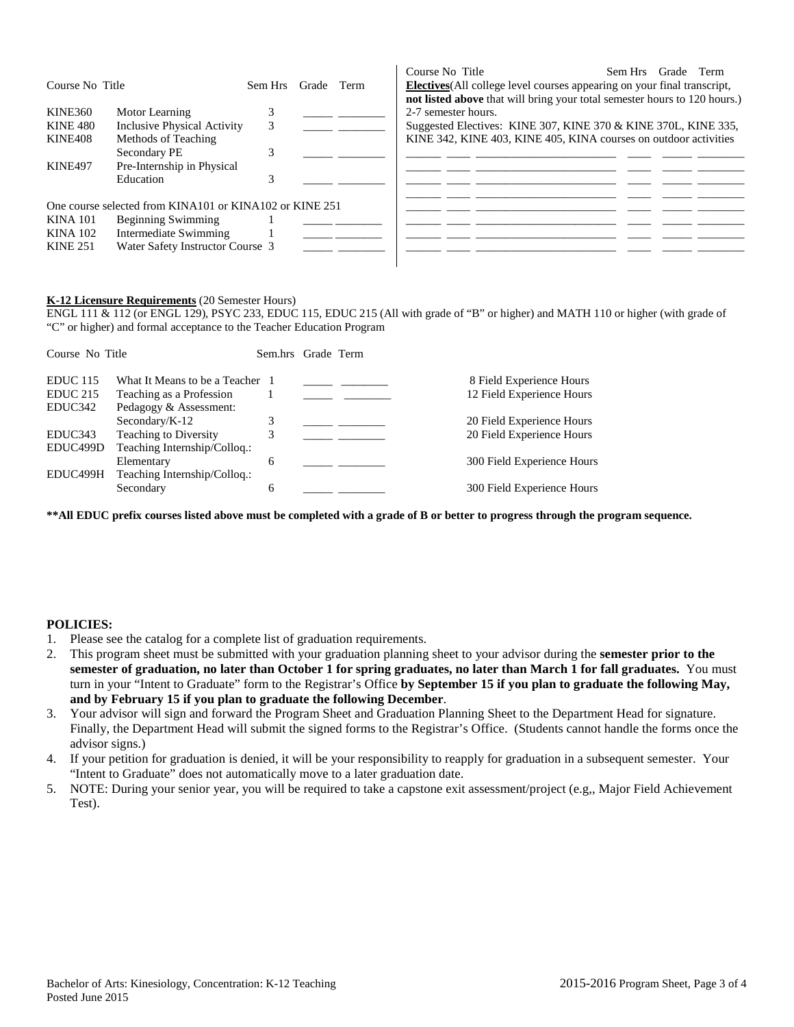| Course No Title |                                                         | Sem Hrs | Grade Term | Course No Title<br><b>Electives</b> (All college level courses appearing on your final transcript, | Sem Hrs Grade Term |  |
|-----------------|---------------------------------------------------------|---------|------------|----------------------------------------------------------------------------------------------------|--------------------|--|
|                 |                                                         |         |            | not listed above that will bring your total semester hours to 120 hours.)                          |                    |  |
| KINE360         | Motor Learning                                          |         |            | 2-7 semester hours.                                                                                |                    |  |
| <b>KINE 480</b> | <b>Inclusive Physical Activity</b>                      | 3       |            | Suggested Electives: KINE 307, KINE 370 & KINE 370L, KINE 335,                                     |                    |  |
| KINE408         | Methods of Teaching                                     |         |            | KINE 342, KINE 403, KINE 405, KINA courses on outdoor activities                                   |                    |  |
|                 | Secondary PE                                            |         |            |                                                                                                    |                    |  |
| <b>KINE497</b>  | Pre-Internship in Physical                              |         |            |                                                                                                    |                    |  |
|                 | Education                                               |         |            |                                                                                                    |                    |  |
|                 | One course selected from KINA101 or KINA102 or KINE 251 |         |            |                                                                                                    |                    |  |
| <b>KINA 101</b> | <b>Beginning Swimming</b>                               |         |            |                                                                                                    |                    |  |
| <b>KINA 102</b> | Intermediate Swimming                                   |         |            |                                                                                                    |                    |  |
| <b>KINE 251</b> | Water Safety Instructor Course 3                        |         |            |                                                                                                    |                    |  |
|                 |                                                         |         |            |                                                                                                    |                    |  |

### **K-12 Licensure Requirements** (20 Semester Hours)

ENGL 111 & 112 (or ENGL 129), PSYC 233, EDUC 115, EDUC 215 (All with grade of "B" or higher) and MATH 110 or higher (with grade of "C" or higher) and formal acceptance to the Teacher Education Program

| Course No Title |                                 | Sem.hrs Grade Term |  |                            |
|-----------------|---------------------------------|--------------------|--|----------------------------|
| <b>EDUC</b> 115 | What It Means to be a Teacher 1 |                    |  | 8 Field Experience Hours   |
| <b>EDUC 215</b> | Teaching as a Profession        |                    |  | 12 Field Experience Hours  |
| EDUC342         | Pedagogy & Assessment:          |                    |  |                            |
|                 | Secondary/ $K-12$               | 3                  |  | 20 Field Experience Hours  |
| EDUC343         | Teaching to Diversity           |                    |  | 20 Field Experience Hours  |
| EDUC499D        | Teaching Internship/Colloq.:    |                    |  |                            |
|                 | Elementary                      | 6                  |  | 300 Field Experience Hours |
| EDUC499H        | Teaching Internship/Colloq.:    |                    |  |                            |
|                 | Secondary                       | 6                  |  | 300 Field Experience Hours |
|                 |                                 |                    |  |                            |

**\*\*All EDUC prefix courses listed above must be completed with a grade of B or better to progress through the program sequence.** 

### **POLICIES:**

- 1. Please see the catalog for a complete list of graduation requirements.
- 2. This program sheet must be submitted with your graduation planning sheet to your advisor during the **semester prior to the semester of graduation, no later than October 1 for spring graduates, no later than March 1 for fall graduates.** You must turn in your "Intent to Graduate" form to the Registrar's Office **by September 15 if you plan to graduate the following May, and by February 15 if you plan to graduate the following December**.
- 3. Your advisor will sign and forward the Program Sheet and Graduation Planning Sheet to the Department Head for signature. Finally, the Department Head will submit the signed forms to the Registrar's Office. (Students cannot handle the forms once the advisor signs.)
- 4. If your petition for graduation is denied, it will be your responsibility to reapply for graduation in a subsequent semester. Your "Intent to Graduate" does not automatically move to a later graduation date.
- 5. NOTE: During your senior year, you will be required to take a capstone exit assessment/project (e.g,, Major Field Achievement Test).